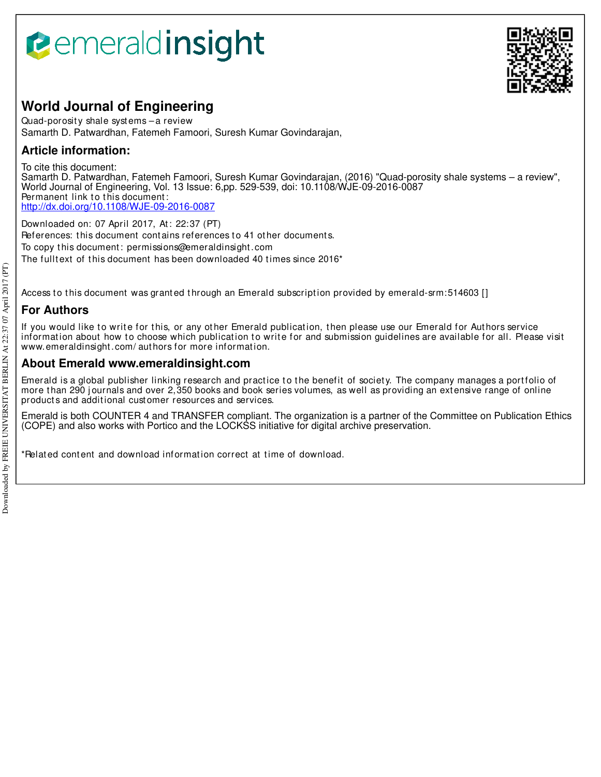# **B**emeraldinsight



# **World Journal of Engineering**

Quad-porosity shale systems - a review Samarth D. Patwardhan, Fatemeh Famoori, Suresh Kumar Govindarajan,

# **Article information:**

To cite this document: Samarth D. Patwardhan, Fatemeh Famoori, Suresh Kumar Govindarajan, (2016) "Quad-porosity shale systems – a review", World Journal of Engineering, Vol. 13 Issue: 6,pp. 529-539, doi: 10.1108/WJE-09-2016-0087 Permanent link to this document: http://dx.doi.org/10.1108/WJE-09-2016-0087

Downloaded on: 07 April 2017, At : 22:37 (PT) References: this document contains references to 41 other documents. To copy t his document : permissions@emeraldinsight .com The fulltext of this document has been downloaded 40 times since  $2016<sup>*</sup>$ 

Access to this document was granted through an Emerald subscription provided by emerald-srm:514603 []

## **For Authors**

If you would like to write for this, or any other Emerald publication, then please use our Emerald for Authors service information about how to choose which publication to write for and submission guidelines are available for all. Please visit www.emeraldinsight .com/ aut hors for more informat ion.

### **About Emerald www.emeraldinsight.com**

Emerald is a global publisher linking research and practice to the benefit of society. The company manages a portfolio of more than 290 journals and over 2,350 books and book series volumes, as well as providing an extensive range of online product s and addit ional cust omer resources and services.

Emerald is both COUNTER 4 and TRANSFER compliant. The organization is a partner of the Committee on Publication Ethics (COPE) and also works with Portico and the LOCKSS initiative for digital archive preservation.

\*Related content and download information correct at time of download.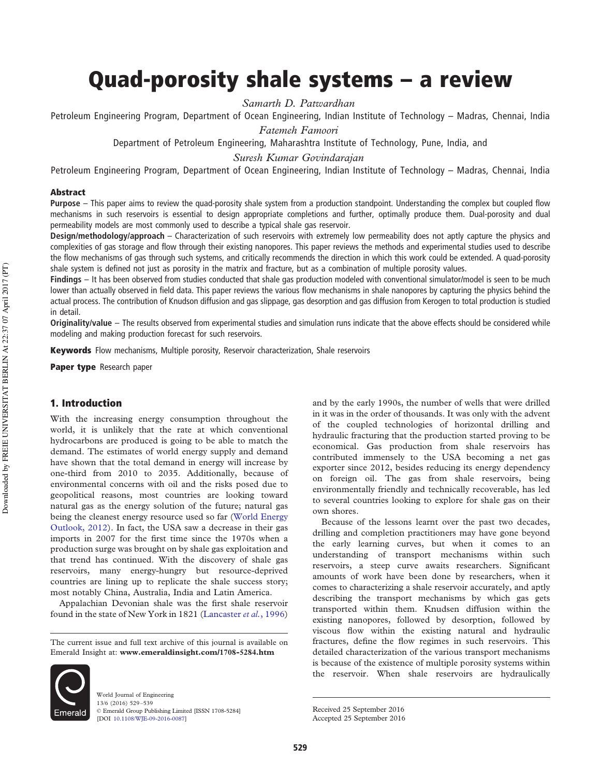# Quad-porosity shale systems – a review

*Samarth D. Patwardhan*

Petroleum Engineering Program, Department of Ocean Engineering, Indian Institute of Technology – Madras, Chennai, India

*Fatemeh Famoori*

Department of Petroleum Engineering, Maharashtra Institute of Technology, Pune, India, and

*Suresh Kumar Govindarajan*

Petroleum Engineering Program, Department of Ocean Engineering, Indian Institute of Technology – Madras, Chennai, India

#### Abstract

**Purpose** – This paper aims to review the quad-porosity shale system from a production standpoint. Understanding the complex but coupled flow mechanisms in such reservoirs is essential to design appropriate completions and further, optimally produce them. Dual-porosity and dual permeability models are most commonly used to describe a typical shale gas reservoir.

**Design/methodology/approach** – Characterization of such reservoirs with extremely low permeability does not aptly capture the physics and complexities of gas storage and flow through their existing nanopores. This paper reviews the methods and experimental studies used to describe the flow mechanisms of gas through such systems, and critically recommends the direction in which this work could be extended. A quad-porosity shale system is defined not just as porosity in the matrix and fracture, but as a combination of multiple porosity values.

**Findings** – It has been observed from studies conducted that shale gas production modeled with conventional simulator/model is seen to be much lower than actually observed in field data. This paper reviews the various flow mechanisms in shale nanopores by capturing the physics behind the actual process. The contribution of Knudson diffusion and gas slippage, gas desorption and gas diffusion from Kerogen to total production is studied in detail.

**Originality/value** – The results observed from experimental studies and simulation runs indicate that the above effects should be considered while modeling and making production forecast for such reservoirs.

**Keywords** Flow mechanisms, Multiple porosity, Reservoir characterization, Shale reservoirs

Paper type Research paper

#### 1. Introduction

With the increasing energy consumption throughout the world, it is unlikely that the rate at which conventional hydrocarbons are produced is going to be able to match the demand. The estimates of world energy supply and demand have shown that the total demand in energy will increase by one-third from 2010 to 2035. Additionally, because of environmental concerns with oil and the risks posed due to geopolitical reasons, most countries are looking toward natural gas as the energy solution of the future; natural gas being the cleanest energy resource used so far (World Energy Outlook, 2012). In fact, the USA saw a decrease in their gas imports in 2007 for the first time since the 1970s when a production surge was brought on by shale gas exploitation and that trend has continued. With the discovery of shale gas reservoirs, many energy-hungry but resource-deprived countries are lining up to replicate the shale success story; most notably China, Australia, India and Latin America.

Appalachian Devonian shale was the first shale reservoir found in the state of New York in 1821 (Lancaster *et al.*, 1996)

The current issue and full text archive of this journal is available on Emerald Insight at: **www.emeraldinsight.com/1708-5284.htm**



World Journal of Engineering 13/6 (2016) 529–539 © Emerald Group Publishing Limited [ISSN 1708-5284] [DOI 10.1108/WJE-09-2016-0087]

and by the early 1990s, the number of wells that were drilled in it was in the order of thousands. It was only with the advent of the coupled technologies of horizontal drilling and hydraulic fracturing that the production started proving to be economical. Gas production from shale reservoirs has contributed immensely to the USA becoming a net gas exporter since 2012, besides reducing its energy dependency on foreign oil. The gas from shale reservoirs, being environmentally friendly and technically recoverable, has led to several countries looking to explore for shale gas on their own shores.

Because of the lessons learnt over the past two decades, drilling and completion practitioners may have gone beyond the early learning curves, but when it comes to an understanding of transport mechanisms within such reservoirs, a steep curve awaits researchers. Significant amounts of work have been done by researchers, when it comes to characterizing a shale reservoir accurately, and aptly describing the transport mechanisms by which gas gets transported within them. Knudsen diffusion within the existing nanopores, followed by desorption, followed by viscous flow within the existing natural and hydraulic fractures, define the flow regimes in such reservoirs. This detailed characterization of the various transport mechanisms is because of the existence of multiple porosity systems within the reservoir. When shale reservoirs are hydraulically

Received 25 September 2016

Accepted 25 September 2016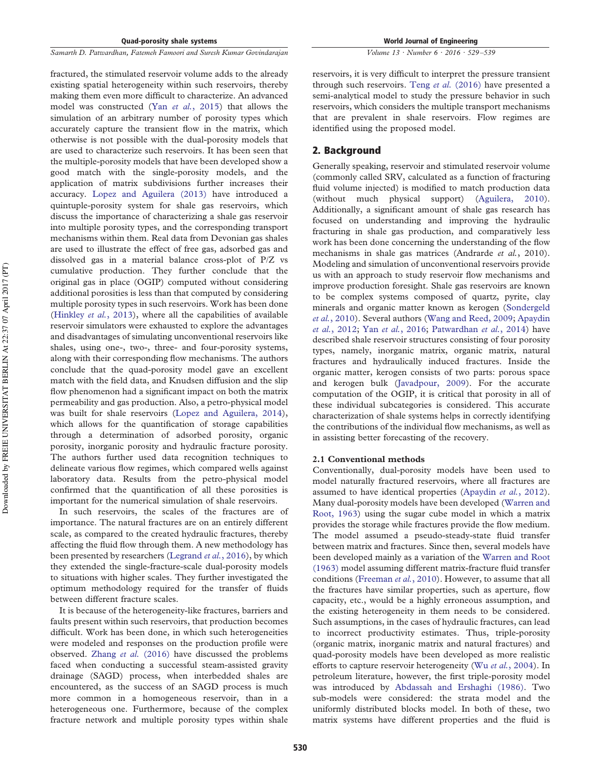fractured, the stimulated reservoir volume adds to the already existing spatial heterogeneity within such reservoirs, thereby making them even more difficult to characterize. An advanced model was constructed (Yan *et al.*, 2015) that allows the simulation of an arbitrary number of porosity types which accurately capture the transient flow in the matrix, which otherwise is not possible with the dual-porosity models that are used to characterize such reservoirs. It has been seen that the multiple-porosity models that have been developed show a good match with the single-porosity models, and the application of matrix subdivisions further increases their accuracy. Lopez and Aguilera (2013) have introduced a quintuple-porosity system for shale gas reservoirs, which discuss the importance of characterizing a shale gas reservoir into multiple porosity types, and the corresponding transport mechanisms within them. Real data from Devonian gas shales are used to illustrate the effect of free gas, adsorbed gas and dissolved gas in a material balance cross-plot of P/Z vs cumulative production. They further conclude that the original gas in place (OGIP) computed without considering additional porosities is less than that computed by considering multiple porosity types in such reservoirs. Work has been done (Hinkley *et al.*, 2013), where all the capabilities of available reservoir simulators were exhausted to explore the advantages and disadvantages of simulating unconventional reservoirs like shales, using one-, two-, three- and four-porosity systems, along with their corresponding flow mechanisms. The authors conclude that the quad-porosity model gave an excellent match with the field data, and Knudsen diffusion and the slip flow phenomenon had a significant impact on both the matrix permeability and gas production. Also, a petro-physical model was built for shale reservoirs (Lopez and Aguilera, 2014), which allows for the quantification of storage capabilities through a determination of adsorbed porosity, organic porosity, inorganic porosity and hydraulic fracture porosity. The authors further used data recognition techniques to delineate various flow regimes, which compared wells against laboratory data. Results from the petro-physical model confirmed that the quantification of all these porosities is important for the numerical simulation of shale reservoirs.

In such reservoirs, the scales of the fractures are of importance. The natural fractures are on an entirely different scale, as compared to the created hydraulic fractures, thereby affecting the fluid flow through them. A new methodology has been presented by researchers (Legrand *et al.*, 2016), by which they extended the single-fracture-scale dual-porosity models to situations with higher scales. They further investigated the optimum methodology required for the transfer of fluids between different fracture scales.

It is because of the heterogeneity-like fractures, barriers and faults present within such reservoirs, that production becomes difficult. Work has been done, in which such heterogeneities were modeled and responses on the production profile were observed. Zhang *et al.* (2016) have discussed the problems faced when conducting a successful steam-assisted gravity drainage (SAGD) process, when interbedded shales are encountered, as the success of an SAGD process is much more common in a homogeneous reservoir, than in a heterogeneous one. Furthermore, because of the complex fracture network and multiple porosity types within shale *Volume 13 · Number 6 · 2016 · 529 –539*

reservoirs, it is very difficult to interpret the pressure transient through such reservoirs. Teng *et al.* (2016) have presented a semi-analytical model to study the pressure behavior in such reservoirs, which considers the multiple transport mechanisms that are prevalent in shale reservoirs. Flow regimes are identified using the proposed model.

#### 2. Background

Generally speaking, reservoir and stimulated reservoir volume (commonly called SRV, calculated as a function of fracturing fluid volume injected) is modified to match production data (without much physical support) (Aguilera, 2010). Additionally, a significant amount of shale gas research has focused on understanding and improving the hydraulic fracturing in shale gas production, and comparatively less work has been done concerning the understanding of the flow mechanisms in shale gas matrices (Andrarde *et al.*, 2010). Modeling and simulation of unconventional reservoirs provide us with an approach to study reservoir flow mechanisms and improve production foresight. Shale gas reservoirs are known to be complex systems composed of quartz, pyrite, clay minerals and organic matter known as kerogen (Sondergeld *et al.*, 2010). Several authors (Wang and Reed, 2009; Apaydin *et al.*, 2012; Yan *et al.*, 2016; Patwardhan *et al.*, 2014) have described shale reservoir structures consisting of four porosity types, namely, inorganic matrix, organic matrix, natural fractures and hydraulically induced fractures. Inside the organic matter, kerogen consists of two parts: porous space and kerogen bulk (Javadpour, 2009). For the accurate computation of the OGIP, it is critical that porosity in all of these individual subcategories is considered. This accurate characterization of shale systems helps in correctly identifying the contributions of the individual flow mechanisms, as well as in assisting better forecasting of the recovery.

#### **2.1 Conventional methods**

Conventionally, dual-porosity models have been used to model naturally fractured reservoirs, where all fractures are assumed to have identical properties (Apaydin *et al.*, 2012). Many dual-porosity models have been developed (Warren and Root, 1963) using the sugar cube model in which a matrix provides the storage while fractures provide the flow medium. The model assumed a pseudo-steady-state fluid transfer between matrix and fractures. Since then, several models have been developed mainly as a variation of the Warren and Root (1963) model assuming different matrix-fracture fluid transfer conditions (Freeman *et al.*, 2010). However, to assume that all the fractures have similar properties, such as aperture, flow capacity, etc., would be a highly erroneous assumption, and the existing heterogeneity in them needs to be considered. Such assumptions, in the cases of hydraulic fractures, can lead to incorrect productivity estimates. Thus, triple-porosity (organic matrix, inorganic matrix and natural fractures) and quad-porosity models have been developed as more realistic efforts to capture reservoir heterogeneity (Wu *et al.*, 2004). In petroleum literature, however, the first triple-porosity model was introduced by Abdassah and Ershaghi (1986). Two sub-models were considered: the strata model and the uniformly distributed blocks model. In both of these, two matrix systems have different properties and the fluid is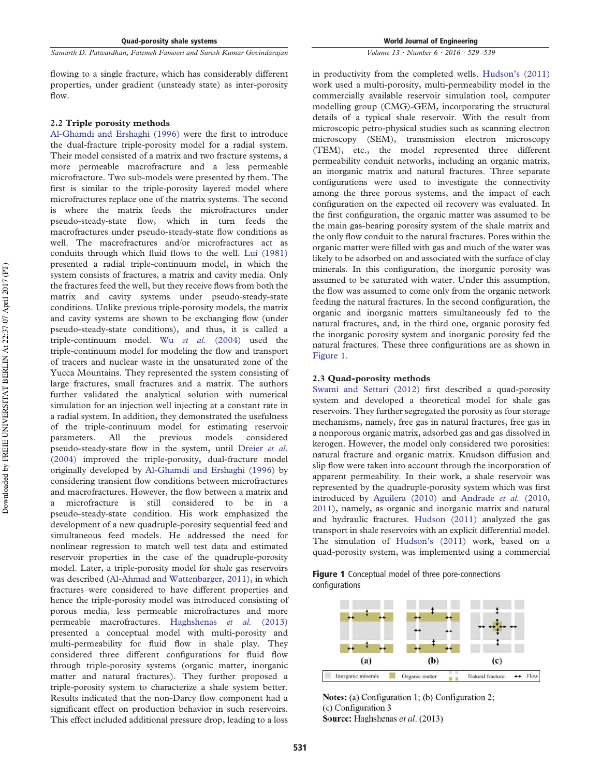flowing to a single fracture, which has considerably different properties, under gradient (unsteady state) as inter-porosity flow.

#### **2.2 Triple porosity methods**

Al-Ghamdi and Ershaghi (1996) were the first to introduce the dual-fracture triple-porosity model for a radial system. Their model consisted of a matrix and two fracture systems, a more permeable macrofracture and a less permeable microfracture. Two sub-models were presented by them. The first is similar to the triple-porosity layered model where microfractures replace one of the matrix systems. The second is where the matrix feeds the microfractures under pseudo-steady-state flow, which in turn feeds the macrofractures under pseudo-steady-state flow conditions as well. The macrofractures and/or microfractures act as conduits through which fluid flows to the well. Lui (1981) presented a radial triple-continuum model, in which the system consists of fractures, a matrix and cavity media. Only the fractures feed the well, but they receive flows from both the matrix and cavity systems under pseudo-steady-state conditions. Unlike previous triple-porosity models, the matrix and cavity systems are shown to be exchanging flow (under pseudo-steady-state conditions), and thus, it is called a triple-continuum model. Wu *et al.* (2004) used the triple-continuum model for modeling the flow and transport of tracers and nuclear waste in the unsaturated zone of the Yucca Mountains. They represented the system consisting of large fractures, small fractures and a matrix. The authors further validated the analytical solution with numerical simulation for an injection well injecting at a constant rate in a radial system. In addition, they demonstrated the usefulness of the triple-continuum model for estimating reservoir parameters. All the previous models considered pseudo-steady-state flow in the system, until Dreier *et al*. (2004) improved the triple-porosity, dual-fracture model originally developed by Al-Ghamdi and Ershaghi (1996) by considering transient flow conditions between microfractures and macrofractures. However, the flow between a matrix and a microfracture is still considered to be in a pseudo-steady-state condition. His work emphasized the development of a new quadruple-porosity sequential feed and simultaneous feed models. He addressed the need for nonlinear regression to match well test data and estimated reservoir properties in the case of the quadruple-porosity model. Later, a triple-porosity model for shale gas reservoirs was described (Al-Ahmad and Wattenbarger, 2011), in which fractures were considered to have different properties and hence the triple-porosity model was introduced consisting of porous media, less permeable microfractures and more permeable macrofractures. Haghshenas *et al.* (2013) presented a conceptual model with multi-porosity and multi-permeability for fluid flow in shale play. They considered three different configurations for fluid flow through triple-porosity systems (organic matter, inorganic matter and natural fractures). They further proposed a triple-porosity system to characterize a shale system better. Results indicated that the non-Darcy flow component had a significant effect on production behavior in such reservoirs. This effect included additional pressure drop, leading to a loss

#### *Volume 13 · Number 6 · 2016 · 529 –539*

in productivity from the completed wells. Hudson's (2011) work used a multi-porosity, multi-permeability model in the commercially available reservoir simulation tool, computer modelling group (CMG)-GEM, incorporating the structural details of a typical shale reservoir. With the result from microscopic petro-physical studies such as scanning electron microscopy (SEM), transmission electron microscopy (TEM), etc., the model represented three different permeability conduit networks, including an organic matrix, an inorganic matrix and natural fractures. Three separate configurations were used to investigate the connectivity among the three porous systems, and the impact of each configuration on the expected oil recovery was evaluated. In the first configuration, the organic matter was assumed to be the main gas-bearing porosity system of the shale matrix and the only flow conduit to the natural fractures. Pores within the organic matter were filled with gas and much of the water was likely to be adsorbed on and associated with the surface of clay minerals. In this configuration, the inorganic porosity was assumed to be saturated with water. Under this assumption, the flow was assumed to come only from the organic network feeding the natural fractures. In the second configuration, the organic and inorganic matters simultaneously fed to the natural fractures, and, in the third one, organic porosity fed the inorganic porosity system and inorganic porosity fed the natural fractures. These three configurations are as shown in Figure 1.

#### **2.3 Quad-porosity methods**

Swami and Settari (2012) first described a quad-porosity system and developed a theoretical model for shale gas reservoirs. They further segregated the porosity as four storage mechanisms, namely, free gas in natural fractures, free gas in a nonporous organic matrix, adsorbed gas and gas dissolved in kerogen. However, the model only considered two porosities: natural fracture and organic matrix. Knudson diffusion and slip flow were taken into account through the incorporation of apparent permeability. In their work, a shale reservoir was represented by the quadruple-porosity system which was first introduced by Aguilera (2010) and Andrade *et al.* (2010, 2011), namely, as organic and inorganic matrix and natural and hydraulic fractures. Hudson (2011) analyzed the gas transport in shale reservoirs with an explicit differential model. The simulation of Hudson's (2011) work, based on a quad-porosity system, was implemented using a commercial

Figure 1 Conceptual model of three pore-connections configurations



**Notes:** (a) Configuration 1; (b) Configuration 2; (c) Configuration 3 Source: Haghshenas et al. (2013)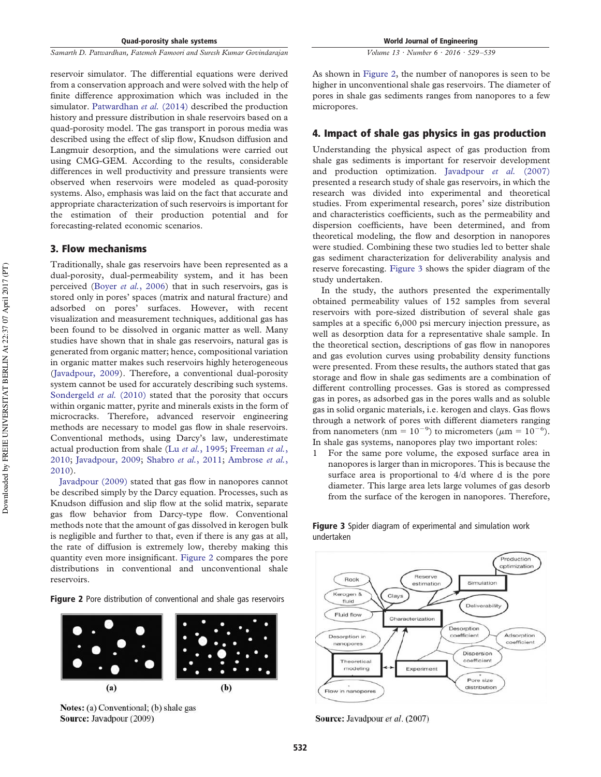reservoir simulator. The differential equations were derived from a conservation approach and were solved with the help of finite difference approximation which was included in the simulator. Patwardhan *et al.* (2014) described the production history and pressure distribution in shale reservoirs based on a quad-porosity model. The gas transport in porous media was described using the effect of slip flow, Knudson diffusion and Langmuir desorption, and the simulations were carried out using CMG-GEM. According to the results, considerable differences in well productivity and pressure transients were observed when reservoirs were modeled as quad-porosity systems. Also, emphasis was laid on the fact that accurate and appropriate characterization of such reservoirs is important for the estimation of their production potential and for forecasting-related economic scenarios.

#### 3. Flow mechanisms

Traditionally, shale gas reservoirs have been represented as a dual-porosity, dual-permeability system, and it has been perceived (Boyer *et al.*, 2006) that in such reservoirs, gas is stored only in pores' spaces (matrix and natural fracture) and adsorbed on pores' surfaces. However, with recent visualization and measurement techniques, additional gas has been found to be dissolved in organic matter as well. Many studies have shown that in shale gas reservoirs, natural gas is generated from organic matter; hence, compositional variation in organic matter makes such reservoirs highly heterogeneous (Javadpour, 2009). Therefore, a conventional dual-porosity system cannot be used for accurately describing such systems. Sondergeld *et al.* (2010) stated that the porosity that occurs within organic matter, pyrite and minerals exists in the form of microcracks. Therefore, advanced reservoir engineering methods are necessary to model gas flow in shale reservoirs. Conventional methods, using Darcy's law, underestimate actual production from shale (Lu *et al.*, 1995; Freeman *et al.*, 2010; Javadpour, 2009; Shabro *et al.*, 2011; Ambrose *et al.*, 2010).

Javadpour (2009) stated that gas flow in nanopores cannot be described simply by the Darcy equation. Processes, such as Knudson diffusion and slip flow at the solid matrix, separate gas flow behavior from Darcy-type flow. Conventional methods note that the amount of gas dissolved in kerogen bulk is negligible and further to that, even if there is any gas at all, the rate of diffusion is extremely low, thereby making this quantity even more insignificant. Figure 2 compares the pore distributions in conventional and unconventional shale reservoirs.

Figure 2 Pore distribution of conventional and shale gas reservoirs



Notes: (a) Conventional; (b) shale gas Source: Javadpour (2009)

*Volume 13 · Number 6 · 2016 · 529 –539*

As shown in Figure 2, the number of nanopores is seen to be higher in unconventional shale gas reservoirs. The diameter of pores in shale gas sediments ranges from nanopores to a few micropores.

#### 4. Impact of shale gas physics in gas production

Understanding the physical aspect of gas production from shale gas sediments is important for reservoir development and production optimization. Javadpour *et al.* (2007) presented a research study of shale gas reservoirs, in which the research was divided into experimental and theoretical studies. From experimental research, pores' size distribution and characteristics coefficients, such as the permeability and dispersion coefficients, have been determined, and from theoretical modeling, the flow and desorption in nanopores were studied. Combining these two studies led to better shale gas sediment characterization for deliverability analysis and reserve forecasting. Figure 3 shows the spider diagram of the study undertaken.

In the study, the authors presented the experimentally obtained permeability values of 152 samples from several reservoirs with pore-sized distribution of several shale gas samples at a specific 6,000 psi mercury injection pressure, as well as desorption data for a representative shale sample. In the theoretical section, descriptions of gas flow in nanopores and gas evolution curves using probability density functions were presented. From these results, the authors stated that gas storage and flow in shale gas sediments are a combination of different controlling processes. Gas is stored as compressed gas in pores, as adsorbed gas in the pores walls and as soluble gas in solid organic materials, i.e. kerogen and clays. Gas flows through a network of pores with different diameters ranging from nanometers (nm =  $10^{-9}$ ) to micrometers ( $\mu$ m =  $10^{-6}$ ). In shale gas systems, nanopores play two important roles:

1 For the same pore volume, the exposed surface area in nanopores is larger than in micropores. This is because the surface area is proportional to 4/d where d is the pore diameter. This large area lets large volumes of gas desorb from the surface of the kerogen in nanopores. Therefore,



Figure 3 Spider diagram of experimental and simulation work undertaken

Source: Javadpour et al. (2007)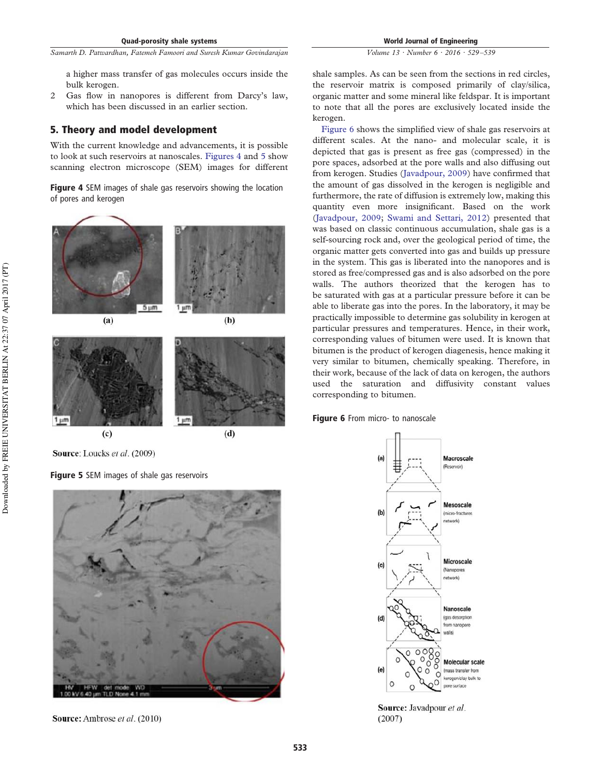*Volume 13 · Number 6 · 2016 · 529 –539*

*Samarth D. Patwardhan, Fatemeh Famoori and Suresh Kumar Govindarajan*

a higher mass transfer of gas molecules occurs inside the bulk kerogen.

2 Gas flow in nanopores is different from Darcy's law, which has been discussed in an earlier section.

#### 5. Theory and model development

With the current knowledge and advancements, it is possible to look at such reservoirs at nanoscales. Figures 4 and 5 show scanning electron microscope (SEM) images for different

Figure 4 SEM images of shale gas reservoirs showing the location of pores and kerogen



Source: Loucks et al. (2009)

Figure 5 SEM images of shale gas reservoirs



Source: Ambrose et al. (2010)

shale samples. As can be seen from the sections in red circles, the reservoir matrix is composed primarily of clay/silica, organic matter and some mineral like feldspar. It is important to note that all the pores are exclusively located inside the kerogen.

Figure 6 shows the simplified view of shale gas reservoirs at different scales. At the nano- and molecular scale, it is depicted that gas is present as free gas (compressed) in the pore spaces, adsorbed at the pore walls and also diffusing out from kerogen. Studies (Javadpour, 2009) have confirmed that the amount of gas dissolved in the kerogen is negligible and furthermore, the rate of diffusion is extremely low, making this quantity even more insignificant. Based on the work (Javadpour, 2009; Swami and Settari, 2012) presented that was based on classic continuous accumulation, shale gas is a self-sourcing rock and, over the geological period of time, the organic matter gets converted into gas and builds up pressure in the system. This gas is liberated into the nanopores and is stored as free/compressed gas and is also adsorbed on the pore walls. The authors theorized that the kerogen has to be saturated with gas at a particular pressure before it can be able to liberate gas into the pores. In the laboratory, it may be practically impossible to determine gas solubility in kerogen at particular pressures and temperatures. Hence, in their work, corresponding values of bitumen were used. It is known that bitumen is the product of kerogen diagenesis, hence making it very similar to bitumen, chemically speaking. Therefore, in their work, because of the lack of data on kerogen, the authors used the saturation and diffusivity constant values corresponding to bitumen.

Figure 6 From micro- to nanoscale



Source: Javadpour et al.  $(2007)$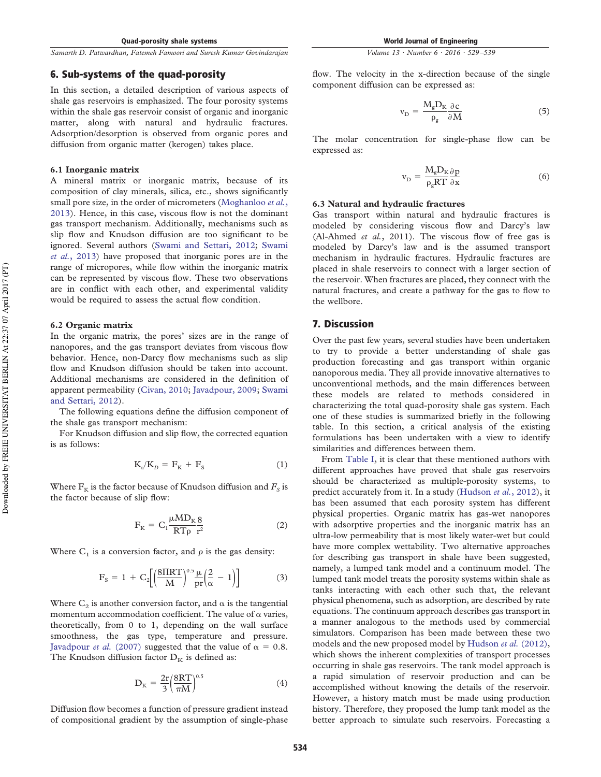#### 6. Sub-systems of the quad-porosity

In this section, a detailed description of various aspects of shale gas reservoirs is emphasized. The four porosity systems within the shale gas reservoir consist of organic and inorganic matter, along with natural and hydraulic fractures. Adsorption/desorption is observed from organic pores and diffusion from organic matter (kerogen) takes place.

#### **6.1 Inorganic matrix**

A mineral matrix or inorganic matrix, because of its composition of clay minerals, silica, etc., shows significantly small pore size, in the order of micrometers (Moghanloo *et al.*, 2013). Hence, in this case, viscous flow is not the dominant gas transport mechanism. Additionally, mechanisms such as slip flow and Knudson diffusion are too significant to be ignored. Several authors (Swami and Settari, 2012; Swami *et al.*, 2013) have proposed that inorganic pores are in the range of micropores, while flow within the inorganic matrix can be represented by viscous flow. These two observations are in conflict with each other, and experimental validity would be required to assess the actual flow condition.

#### **6.2 Organic matrix**

In the organic matrix, the pores' sizes are in the range of nanopores, and the gas transport deviates from viscous flow behavior. Hence, non-Darcy flow mechanisms such as slip flow and Knudson diffusion should be taken into account. Additional mechanisms are considered in the definition of apparent permeability (Civan, 2010; Javadpour, 2009; Swami and Settari, 2012).

The following equations define the diffusion component of the shale gas transport mechanism:

For Knudson diffusion and slip flow, the corrected equation is as follows:

$$
K_a/K_D = F_K + F_S \tag{1}
$$

Where  $\mathrm{F_{K}}$  is the factor because of Knudson diffusion and  $F_{S}$  is the factor because of slip flow:

$$
F_{K} = C_{1} \frac{\mu M D_{K}}{RT \rho} \frac{8}{r^{2}}
$$
 (2)

Where  $C_1$  is a conversion factor, and  $\rho$  is the gas density:

$$
F_S = 1 + C_2 \left[ \left( \frac{8\text{HRT}}{\text{M}} \right)^{0.5} \frac{\mu}{\text{pr}} \left( \frac{2}{\alpha} - 1 \right) \right]
$$
 (3)

Where  $\mathrm{C}_2$  is another conversion factor, and  $\alpha$  is the tangential momentum accommodation coefficient. The value of  $\alpha$  varies, theoretically, from 0 to 1, depending on the wall surface smoothness, the gas type, temperature and pressure. Javadpour *et al.* (2007) suggested that the value of  $\alpha = 0.8$ . The Knudson diffusion factor  $D_K$  is defined as:

$$
D_{K} = \frac{2r}{3} \left(\frac{8RT}{\pi M}\right)^{0.5} \tag{4}
$$

Diffusion flow becomes a function of pressure gradient instead of compositional gradient by the assumption of single-phase

#### *Volume 13 · Number 6 · 2016 · 529 –539*

flow. The velocity in the x-direction because of the single component diffusion can be expressed as:

$$
v_{D} = \frac{M_{g}D_{K}}{\rho_{g}} \frac{\partial c}{\partial M}
$$
 (5)

The molar concentration for single-phase flow can be expressed as:

$$
v_{D} = \frac{M_{g}D_{K}\partial p}{\rho_{g}RT \partial x}
$$
 (6)

#### **6.3 Natural and hydraulic fractures**

Gas transport within natural and hydraulic fractures is modeled by considering viscous flow and Darcy's law (Al-Ahmed *et al.*, 2011). The viscous flow of free gas is modeled by Darcy's law and is the assumed transport mechanism in hydraulic fractures. Hydraulic fractures are placed in shale reservoirs to connect with a larger section of the reservoir. When fractures are placed, they connect with the natural fractures, and create a pathway for the gas to flow to the wellbore.

#### 7. Discussion

Over the past few years, several studies have been undertaken to try to provide a better understanding of shale gas production forecasting and gas transport within organic nanoporous media. They all provide innovative alternatives to unconventional methods, and the main differences between these models are related to methods considered in characterizing the total quad-porosity shale gas system. Each one of these studies is summarized briefly in the following table. In this section, a critical analysis of the existing formulations has been undertaken with a view to identify similarities and differences between them.

From Table I, it is clear that these mentioned authors with different approaches have proved that shale gas reservoirs should be characterized as multiple-porosity systems, to predict accurately from it. In a study (Hudson *et al.*, 2012), it has been assumed that each porosity system has different physical properties. Organic matrix has gas-wet nanopores with adsorptive properties and the inorganic matrix has an ultra-low permeability that is most likely water-wet but could have more complex wettability. Two alternative approaches for describing gas transport in shale have been suggested, namely, a lumped tank model and a continuum model. The lumped tank model treats the porosity systems within shale as tanks interacting with each other such that, the relevant physical phenomena, such as adsorption, are described by rate equations. The continuum approach describes gas transport in a manner analogous to the methods used by commercial simulators. Comparison has been made between these two models and the new proposed model by Hudson *et al.* (2012), which shows the inherent complexities of transport processes occurring in shale gas reservoirs. The tank model approach is a rapid simulation of reservoir production and can be accomplished without knowing the details of the reservoir. However, a history match must be made using production history. Therefore, they proposed the lump tank model as the better approach to simulate such reservoirs. Forecasting a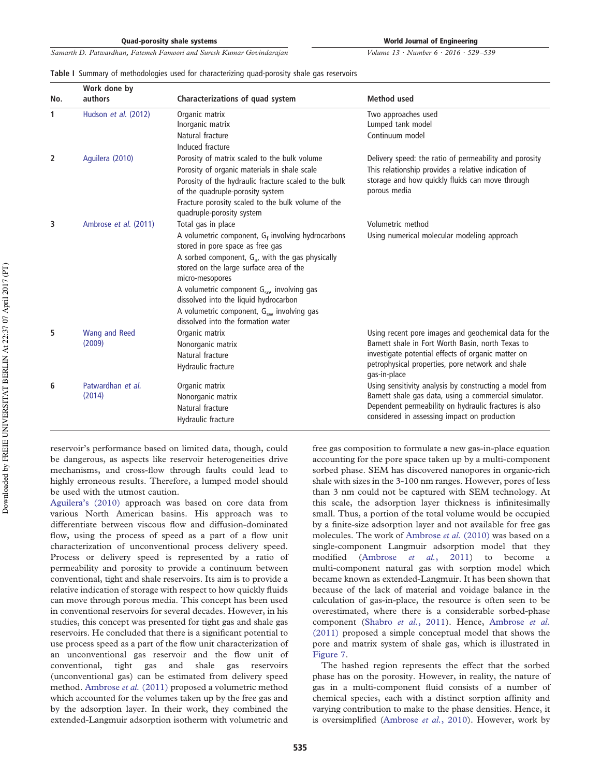World Journal of Engineering

*Volume 13 · Number 6 · 2016 · 529 –539*

#### **Table I** Summary of methodologies used for characterizing quad-porosity shale gas reservoirs

|     | Work done by                |                                                                                                                                                                                                                                                                                                                    |                                                                                                                                                                                                                                      |
|-----|-----------------------------|--------------------------------------------------------------------------------------------------------------------------------------------------------------------------------------------------------------------------------------------------------------------------------------------------------------------|--------------------------------------------------------------------------------------------------------------------------------------------------------------------------------------------------------------------------------------|
| No. | authors                     | Characterizations of quad system                                                                                                                                                                                                                                                                                   | <b>Method</b> used                                                                                                                                                                                                                   |
| 1   | Hudson et al. (2012)        | Organic matrix<br>Inorganic matrix                                                                                                                                                                                                                                                                                 | Two approaches used<br>Lumped tank model                                                                                                                                                                                             |
|     |                             | Natural fracture<br>Induced fracture                                                                                                                                                                                                                                                                               | Continuum model                                                                                                                                                                                                                      |
| 2   | Aguilera (2010)             | Porosity of matrix scaled to the bulk volume<br>Porosity of organic materials in shale scale<br>Porosity of the hydraulic fracture scaled to the bulk<br>of the quadruple-porosity system                                                                                                                          | Delivery speed: the ratio of permeability and porosity<br>This relationship provides a relative indication of<br>storage and how quickly fluids can move through<br>porous media                                                     |
|     |                             | Fracture porosity scaled to the bulk volume of the<br>quadruple-porosity system                                                                                                                                                                                                                                    |                                                                                                                                                                                                                                      |
| 3   | Ambrose et al. (2011)       | Total gas in place                                                                                                                                                                                                                                                                                                 | Volumetric method                                                                                                                                                                                                                    |
|     |                             | A volumetric component, $G_f$ involving hydrocarbons<br>stored in pore space as free gas<br>A sorbed component, $G_{a}$ , with the gas physically<br>stored on the large surface area of the<br>micro-mesopores<br>A volumetric component $G_{\text{so}}$ , involving gas<br>dissolved into the liquid hydrocarbon | Using numerical molecular modeling approach                                                                                                                                                                                          |
|     |                             | A volumetric component, $G_{sw}$ involving gas<br>dissolved into the formation water                                                                                                                                                                                                                               |                                                                                                                                                                                                                                      |
| 5   | Wang and Reed<br>(2009)     | Organic matrix<br>Nonorganic matrix<br>Natural fracture<br>Hydraulic fracture                                                                                                                                                                                                                                      | Using recent pore images and geochemical data for the<br>Barnett shale in Fort Worth Basin, north Texas to<br>investigate potential effects of organic matter on<br>petrophysical properties, pore network and shale<br>qas-in-place |
| 6   | Patwardhan et al.<br>(2014) | Organic matrix<br>Nonorganic matrix<br>Natural fracture<br>Hydraulic fracture                                                                                                                                                                                                                                      | Using sensitivity analysis by constructing a model from<br>Barnett shale gas data, using a commercial simulator.<br>Dependent permeability on hydraulic fractures is also<br>considered in assessing impact on production            |

reservoir's performance based on limited data, though, could be dangerous, as aspects like reservoir heterogeneities drive mechanisms, and cross-flow through faults could lead to highly erroneous results. Therefore, a lumped model should be used with the utmost caution.

Aguilera's (2010) approach was based on core data from various North American basins. His approach was to differentiate between viscous flow and diffusion-dominated flow, using the process of speed as a part of a flow unit characterization of unconventional process delivery speed. Process or delivery speed is represented by a ratio of permeability and porosity to provide a continuum between conventional, tight and shale reservoirs. Its aim is to provide a relative indication of storage with respect to how quickly fluids can move through porous media. This concept has been used in conventional reservoirs for several decades. However, in his studies, this concept was presented for tight gas and shale gas reservoirs. He concluded that there is a significant potential to use process speed as a part of the flow unit characterization of an unconventional gas reservoir and the flow unit of conventional, tight gas and shale gas reservoirs (unconventional gas) can be estimated from delivery speed method. Ambrose *et al.* (2011) proposed a volumetric method which accounted for the volumes taken up by the free gas and by the adsorption layer. In their work, they combined the extended-Langmuir adsorption isotherm with volumetric and free gas composition to formulate a new gas-in-place equation accounting for the pore space taken up by a multi-component sorbed phase. SEM has discovered nanopores in organic-rich shale with sizes in the 3-100 nm ranges. However, pores of less than 3 nm could not be captured with SEM technology. At this scale, the adsorption layer thickness is infinitesimally small. Thus, a portion of the total volume would be occupied by a finite-size adsorption layer and not available for free gas molecules. The work of Ambrose *et al.* (2010) was based on a single-component Langmuir adsorption model that they modified (Ambrose *et al.*, 2011) to become a multi-component natural gas with sorption model which became known as extended-Langmuir. It has been shown that because of the lack of material and voidage balance in the calculation of gas-in-place, the resource is often seen to be overestimated, where there is a considerable sorbed-phase component (Shabro *et al.*, 2011). Hence, Ambrose *et al.* (2011) proposed a simple conceptual model that shows the pore and matrix system of shale gas, which is illustrated in Figure 7.

The hashed region represents the effect that the sorbed phase has on the porosity. However, in reality, the nature of gas in a multi-component fluid consists of a number of chemical species, each with a distinct sorption affinity and varying contribution to make to the phase densities. Hence, it is oversimplified (Ambrose *et al.*, 2010). However, work by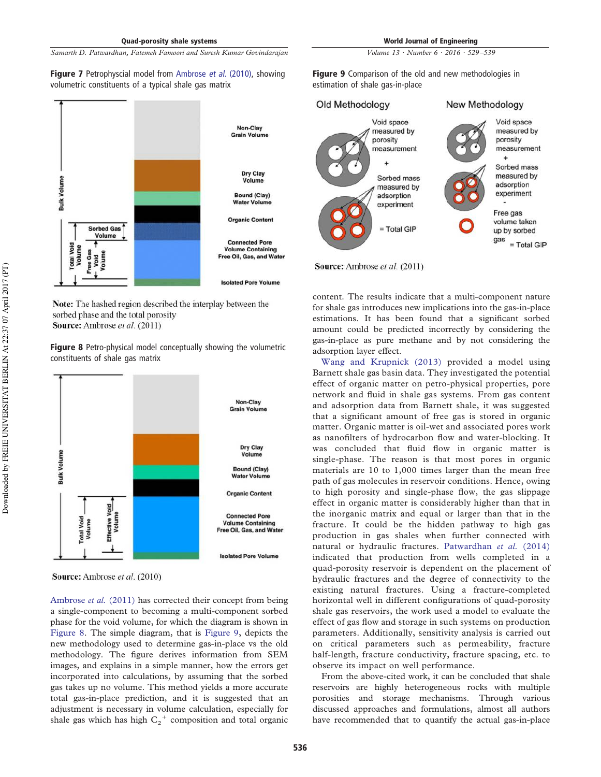Figure 7 Petrophyscial model from Ambrose et al. (2010), showing volumetric constituents of a typical shale gas matrix



Note: The hashed region described the interplay between the sorbed phase and the total porosity **Source:** Ambrose et al. (2011)

**Figure 8** Petro-physical model conceptually showing the volumetric constituents of shale gas matrix



Source: Ambrose et al. (2010)

Ambrose *et al.* (2011) has corrected their concept from being a single-component to becoming a multi-component sorbed phase for the void volume, for which the diagram is shown in Figure 8. The simple diagram, that is Figure 9, depicts the new methodology used to determine gas-in-place vs the old methodology. The figure derives information from SEM images, and explains in a simple manner, how the errors get incorporated into calculations, by assuming that the sorbed gas takes up no volume. This method yields a more accurate total gas-in-place prediction, and it is suggested that an adjustment is necessary in volume calculation, especially for shale gas which has high  $C_2^+$  composition and total organic *Volume 13 · Number 6 · 2016 · 529 –539*

Figure 9 Comparison of the old and new methodologies in estimation of shale gas-in-place



Source: Ambrose et al. (2011)

content. The results indicate that a multi-component nature for shale gas introduces new implications into the gas-in-place estimations. It has been found that a significant sorbed amount could be predicted incorrectly by considering the gas-in-place as pure methane and by not considering the adsorption layer effect.

Wang and Krupnick (2013) provided a model using Barnett shale gas basin data. They investigated the potential effect of organic matter on petro-physical properties, pore network and fluid in shale gas systems. From gas content and adsorption data from Barnett shale, it was suggested that a significant amount of free gas is stored in organic matter. Organic matter is oil-wet and associated pores work as nanofilters of hydrocarbon flow and water-blocking. It was concluded that fluid flow in organic matter is single-phase. The reason is that most pores in organic materials are 10 to 1,000 times larger than the mean free path of gas molecules in reservoir conditions. Hence, owing to high porosity and single-phase flow, the gas slippage effect in organic matter is considerably higher than that in the inorganic matrix and equal or larger than that in the fracture. It could be the hidden pathway to high gas production in gas shales when further connected with natural or hydraulic fractures. Patwardhan *et al.* (2014) indicated that production from wells completed in a quad-porosity reservoir is dependent on the placement of hydraulic fractures and the degree of connectivity to the existing natural fractures. Using a fracture-completed horizontal well in different configurations of quad-porosity shale gas reservoirs, the work used a model to evaluate the effect of gas flow and storage in such systems on production parameters. Additionally, sensitivity analysis is carried out on critical parameters such as permeability, fracture half-length, fracture conductivity, fracture spacing, etc. to observe its impact on well performance.

From the above-cited work, it can be concluded that shale reservoirs are highly heterogeneous rocks with multiple porosities and storage mechanisms. Through various discussed approaches and formulations, almost all authors have recommended that to quantify the actual gas-in-place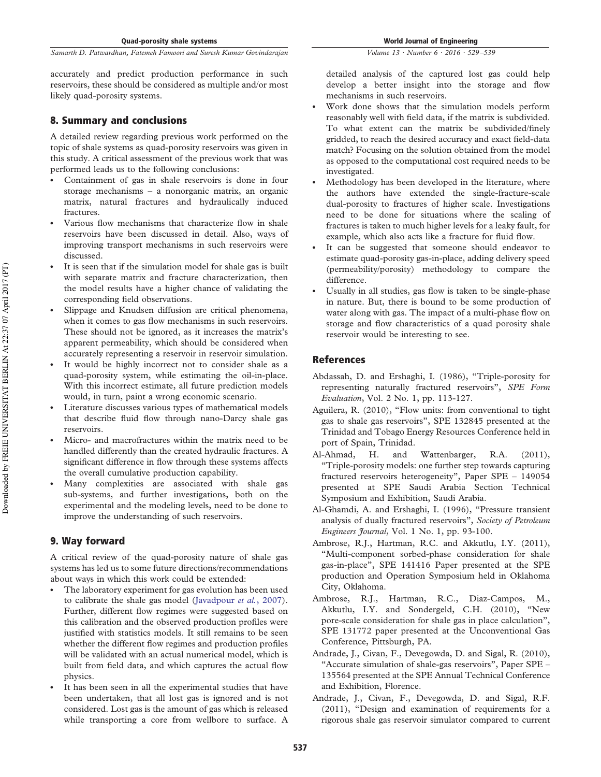Quad-porosity shale systems

*Samarth D. Patwardhan, Fatemeh Famoori and Suresh Kumar Govindarajan*

accurately and predict production performance in such reservoirs, these should be considered as multiple and/or most likely quad-porosity systems.

#### 8. Summary and conclusions

A detailed review regarding previous work performed on the topic of shale systems as quad-porosity reservoirs was given in this study. A critical assessment of the previous work that was performed leads us to the following conclusions:

- Containment of gas in shale reservoirs is done in four storage mechanisms – a nonorganic matrix, an organic matrix, natural fractures and hydraulically induced fractures.
- Various flow mechanisms that characterize flow in shale reservoirs have been discussed in detail. Also, ways of improving transport mechanisms in such reservoirs were discussed.
- It is seen that if the simulation model for shale gas is built with separate matrix and fracture characterization, then the model results have a higher chance of validating the corresponding field observations.
- Slippage and Knudsen diffusion are critical phenomena, when it comes to gas flow mechanisms in such reservoirs. These should not be ignored, as it increases the matrix's apparent permeability, which should be considered when accurately representing a reservoir in reservoir simulation.
- It would be highly incorrect not to consider shale as a quad-porosity system, while estimating the oil-in-place. With this incorrect estimate, all future prediction models would, in turn, paint a wrong economic scenario.
- Literature discusses various types of mathematical models that describe fluid flow through nano-Darcy shale gas reservoirs.
- Micro- and macrofractures within the matrix need to be handled differently than the created hydraulic fractures. A significant difference in flow through these systems affects the overall cumulative production capability.
- Many complexities are associated with shale gas sub-systems, and further investigations, both on the experimental and the modeling levels, need to be done to improve the understanding of such reservoirs.

#### 9. Way forward

A critical review of the quad-porosity nature of shale gas systems has led us to some future directions/recommendations about ways in which this work could be extended:

- The laboratory experiment for gas evolution has been used to calibrate the shale gas model (Javadpour *et al.*, 2007). Further, different flow regimes were suggested based on this calibration and the observed production profiles were justified with statistics models. It still remains to be seen whether the different flow regimes and production profiles will be validated with an actual numerical model, which is built from field data, and which captures the actual flow physics.
- It has been seen in all the experimental studies that have been undertaken, that all lost gas is ignored and is not considered. Lost gas is the amount of gas which is released while transporting a core from wellbore to surface. A

*Volume 13 · Number 6 · 2016 · 529 –539*

detailed analysis of the captured lost gas could help develop a better insight into the storage and flow mechanisms in such reservoirs.

- Work done shows that the simulation models perform reasonably well with field data, if the matrix is subdivided. To what extent can the matrix be subdivided/finely gridded, to reach the desired accuracy and exact field-data match? Focusing on the solution obtained from the model as opposed to the computational cost required needs to be investigated.
- Methodology has been developed in the literature, where the authors have extended the single-fracture-scale dual-porosity to fractures of higher scale. Investigations need to be done for situations where the scaling of fractures is taken to much higher levels for a leaky fault, for example, which also acts like a fracture for fluid flow.
- It can be suggested that someone should endeavor to estimate quad-porosity gas-in-place, adding delivery speed (permeability/porosity) methodology to compare the difference.
- Usually in all studies, gas flow is taken to be single-phase in nature. But, there is bound to be some production of water along with gas. The impact of a multi-phase flow on storage and flow characteristics of a quad porosity shale reservoir would be interesting to see.

#### References

- Abdassah, D. and Ershaghi, I. (1986), "Triple-porosity for representing naturally fractured reservoirs", *SPE Form Evaluation*, Vol. 2 No. 1, pp. 113-127.
- Aguilera, R. (2010), "Flow units: from conventional to tight gas to shale gas reservoirs", SPE 132845 presented at the Trinidad and Tobago Energy Resources Conference held in port of Spain, Trinidad.
- Al-Ahmad, H. and Wattenbarger, R.A. (2011), "Triple-porosity models: one further step towards capturing fractured reservoirs heterogeneity", Paper SPE – 149054 presented at SPE Saudi Arabia Section Technical Symposium and Exhibition, Saudi Arabia.
- Al-Ghamdi, A. and Ershaghi, I. (1996), "Pressure transient analysis of dually fractured reservoirs", *Society of Petroleum Engineers Journal*, Vol. 1 No. 1, pp. 93-100.
- Ambrose, R.J., Hartman, R.C. and Akkutlu, I.Y. (2011), "Multi-component sorbed-phase consideration for shale gas-in-place", SPE 141416 Paper presented at the SPE production and Operation Symposium held in Oklahoma City, Oklahoma.
- Ambrose, R.J., Hartman, R.C., Diaz-Campos, M., Akkutlu, I.Y. and Sondergeld, C.H. (2010), "New pore-scale consideration for shale gas in place calculation", SPE 131772 paper presented at the Unconventional Gas Conference, Pittsburgh, PA.
- Andrade, J., Civan, F., Devegowda, D. and Sigal, R. (2010), "Accurate simulation of shale-gas reservoirs", Paper SPE – 135564 presented at the SPE Annual Technical Conference and Exhibition, Florence.
- Andrade, J., Civan, F., Devegowda, D. and Sigal, R.F. (2011), "Design and examination of requirements for a rigorous shale gas reservoir simulator compared to current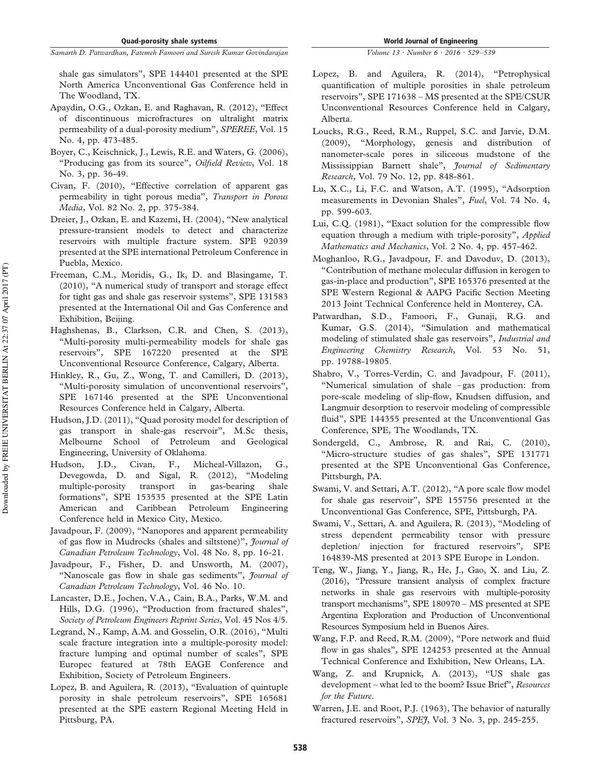shale gas simulators", SPE 144401 presented at the SPE North America Unconventional Gas Conference held in The Woodland, TX.

- Apaydin, O.G., Ozkan, E. and Raghavan, R. (2012), "Effect of discontinuous microfractures on ultralight matrix permeability of a dual-porosity medium", *SPEREE*, Vol. 15 No. 4, pp. 473-485.
- Boyer, C., Keischnick, J., Lewis, R.E. and Waters, G. (2006), "Producing gas from its source", *Oilfield Review*, Vol. 18 No. 3, pp. 36-49.
- Civan, F. (2010), "Effective correlation of apparent gas permeability in tight porous media", *Transport in Porous Media*, Vol. 82 No. 2, pp. 375-384.
- Dreier, J., Ozkan, E. and Kazemi, H. (2004), "New analytical pressure-transient models to detect and characterize reservoirs with multiple fracture system. SPE 92039 presented at the SPE international Petroleum Conference in Puebla, Mexico.
- Freeman, C.M., Moridis, G., Ik, D. and Blasingame, T. (2010), "A numerical study of transport and storage effect for tight gas and shale gas reservoir systems", SPE 131583 presented at the International Oil and Gas Conference and Exhibition, Beijing.
- Haghshenas, B., Clarkson, C.R. and Chen, S. (2013), "Multi-porosity multi-permeability models for shale gas reservoirs", SPE 167220 presented at the SPE Unconventional Resource Conference, Calgary, Alberta.
- Hinkley, R., Gu, Z., Wong, T. and Camilleri, D. (2013), "Multi-porosity simulation of unconventional reservoirs", SPE 167146 presented at the SPE Unconventional Resources Conference held in Calgary, Alberta.
- Hudson, J.D. (2011), "Quad porosity model for description of gas transport in shale-gas reservoir", M.Sc thesis, Melbourne School of Petroleum and Geological Engineering, University of Oklahoma.
- Hudson, J.D., Civan, F., Micheal-Villazon, G., Devegowda, D. and Sigal, R. (2012), "Modeling multiple-porosity transport in gas-bearing shale formations", SPE 153535 presented at the SPE Latin American and Caribbean Petroleum Engineering Conference held in Mexico City, Mexico.
- Javadpour, F. (2009), "Nanopores and apparent permeability of gas flow in Mudrocks (shales and siltstone)", *Journal of Canadian Petroleum Technology*, Vol. 48 No. 8, pp. 16-21.
- Javadpour, F., Fisher, D. and Unsworth, M. (2007), "Nanoscale gas flow in shale gas sediments", *Journal of Canadian Petroleum Technology*, Vol. 46 No. 10.
- Lancaster, D.E., Jochen, V.A., Cain, B.A., Parks, W.M. and Hills, D.G. (1996), "Production from fractured shales", *Society of Petroleum Engineers Reprint Series*, Vol. 45 Nos 4/5.
- Legrand, N., Kamp, A.M. and Gosselin, O.R. (2016), "Multi scale fracture integration into a multiple-porosity model: fracture lumping and optimal number of scales", SPE Europec featured at 78th EAGE Conference and Exhibition, Society of Petroleum Engineers.
- Lopez, B. and Aguilera, R. (2013), "Evaluation of quintuple porosity in shale petroleum reservoirs", SPE 165681 presented at the SPE eastern Regional Meeting Held in Pittsburg, PA.

*Volume 13 · Number 6 · 2016 · 529 –539*

- Lopez, B. and Aguilera, R. (2014), "Petrophysical quantification of multiple porosities in shale petroleum reservoirs", SPE 171638 – MS presented at the SPE/CSUR Unconventional Resources Conference held in Calgary, Alberta.
- Loucks, R.G., Reed, R.M., Ruppel, S.C. and Jarvie, D.M. (2009), "Morphology, genesis and distribution of nanometer-scale pores in siliceous mudstone of the Mississippian Barnett shale", *Journal of Sedimentary Research*, Vol. 79 No. 12, pp. 848-861.
- Lu, X.C., Li, F.C. and Watson, A.T. (1995), "Adsorption measurements in Devonian Shales", *Fuel*, Vol. 74 No. 4, pp. 599-603.
- Lui, C.Q. (1981), "Exact solution for the compressible flow equation through a medium with triple-porosity", *Applied Mathematics and Mechanics*, Vol. 2 No. 4, pp. 457-462.
- Moghanloo, R.G., Javadpour, F. and Davoduv, D. (2013), "Contribution of methane molecular diffusion in kerogen to gas-in-place and production", SPE 165376 presented at the SPE Western Regional & AAPG Pacific Section Meeting 2013 Joint Technical Conference held in Monterey, CA.
- Patwardhan, S.D., Famoori, F., Gunaji, R.G. and Kumar, G.S. (2014), "Simulation and mathematical modeling of stimulated shale gas reservoirs", *Industrial and Engineering Chemistry Research*, Vol. 53 No. 51, pp. 19788-19805.
- Shabro, V., Torres-Verdin, C. and Javadpour, F. (2011), "Numerical simulation of shale –gas production: from pore-scale modeling of slip-flow, Knudsen diffusion, and Langmuir desorption to reservoir modeling of compressible fluid", SPE 144355 presented at the Unconventional Gas Conference, SPE, The Woodlands, TX.
- Sondergeld, C., Ambrose, R. and Rai, C. (2010), "Micro-structure studies of gas shales", SPE 131771 presented at the SPE Unconventional Gas Conference, Pittsburgh, PA.
- Swami, V. and Settari, A.T. (2012), "A pore scale flow model for shale gas reservoir", SPE 155756 presented at the Unconventional Gas Conference, SPE, Pittsburgh, PA.
- Swami, V., Settari, A. and Aguilera, R. (2013), "Modeling of stress dependent permeability tensor with pressure depletion/ injection for fractured reservoirs", SPE 164839-MS presented at 2013 SPE Europe in London.
- Teng, W., Jiang, Y., Jiang, R., He, J., Gao, X. and Liu, Z. (2016), "Pressure transient analysis of complex fracture networks in shale gas reservoirs with multiple-porosity transport mechanisms", SPE 180970 – MS presented at SPE Argentina Exploration and Production of Unconventional Resources Symposium held in Buenos Aires.
- Wang, F.P. and Reed, R.M. (2009), "Pore network and fluid flow in gas shales", SPE 124253 presented at the Annual Technical Conference and Exhibition, New Orleans, LA.
- Wang, Z. and Krupnick, A. (2013), "US shale gas development – what led to the boom? Issue Brief", *Resources for the Future*.
- Warren, J.E. and Root, P.J. (1963), The behavior of naturally fractured reservoirs", *SPEJ*, Vol. 3 No. 3, pp. 245-255.